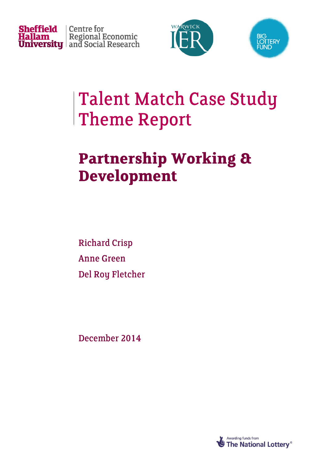





# **Talent Match Case Study Theme Report**

# **Partnership Working & Development**

**Richard Crisp Anne Green** Del Roy Fletcher

December 2014

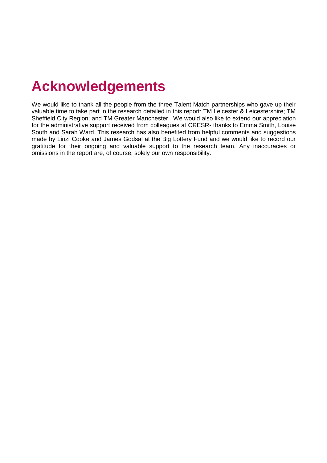### **Acknowledgements**

We would like to thank all the people from the three Talent Match partnerships who gave up their valuable time to take part in the research detailed in this report: TM Leicester & Leicestershire; TM Sheffield City Region; and TM Greater Manchester. We would also like to extend our appreciation for the administrative support received from colleagues at CRESR- thanks to Emma Smith, Louise South and Sarah Ward. This research has also benefited from helpful comments and suggestions made by Linzi Cooke and James Godsal at the Big Lottery Fund and we would like to record our gratitude for their ongoing and valuable support to the research team. Any inaccuracies or omissions in the report are, of course, solely our own responsibility.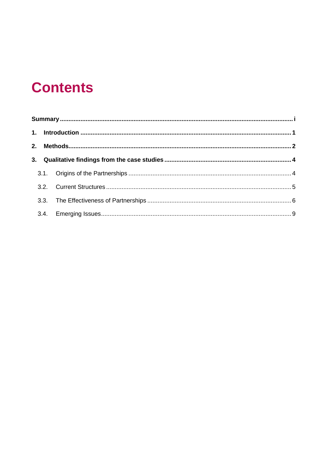## **Contents**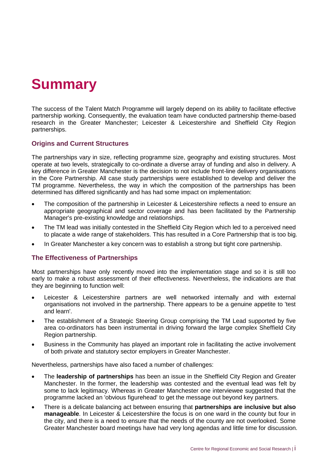## <span id="page-3-0"></span>**Summary**

The success of the Talent Match Programme will largely depend on its ability to facilitate effective partnership working. Consequently, the evaluation team have conducted partnership theme-based research in the Greater Manchester; Leicester & Leicestershire and Sheffield City Region partnerships.

#### **Origins and Current Structures**

The partnerships vary in size, reflecting programme size, geography and existing structures. Most operate at two levels, strategically to co-ordinate a diverse array of funding and also in delivery. A key difference in Greater Manchester is the decision to not include front-line delivery organisations in the Core Partnership. All case study partnerships were established to develop and deliver the TM programme. Nevertheless, the way in which the composition of the partnerships has been determined has differed significantly and has had some impact on implementation:

- The composition of the partnership in Leicester & Leicestershire reflects a need to ensure an appropriate geographical and sector coverage and has been facilitated by the Partnership Manager's pre-existing knowledge and relationships.
- The TM lead was initially contested in the Sheffield City Region which led to a perceived need to placate a wide range of stakeholders. This has resulted in a Core Partnership that is too big.
- In Greater Manchester a key concern was to establish a strong but tight core partnership.

#### **The Effectiveness of Partnerships**

Most partnerships have only recently moved into the implementation stage and so it is still too early to make a robust assessment of their effectiveness. Nevertheless, the indications are that they are beginning to function well:

- Leicester & Leicestershire partners are well networked internally and with external organisations not involved in the partnership. There appears to be a genuine appetite to 'test and learn'.
- The establishment of a Strategic Steering Group comprising the TM Lead supported by five area co-ordinators has been instrumental in driving forward the large complex Sheffield City Region partnership.
- Business in the Community has played an important role in facilitating the active involvement of both private and statutory sector employers in Greater Manchester.

Nevertheless, partnerships have also faced a number of challenges:

- The **leadership of partnerships** has been an issue in the Sheffield City Region and Greater Manchester. In the former, the leadership was contested and the eventual lead was felt by some to lack legitimacy. Whereas in Greater Manchester one interviewee suggested that the programme lacked an 'obvious figurehead' to get the message out beyond key partners.
- There is a delicate balancing act between ensuring that **partnerships are inclusive but also manageable**. In Leicester & Leicestershire the focus is on one ward in the county but four in the city, and there is a need to ensure that the needs of the county are not overlooked. Some Greater Manchester board meetings have had very long agendas and little time for discussion.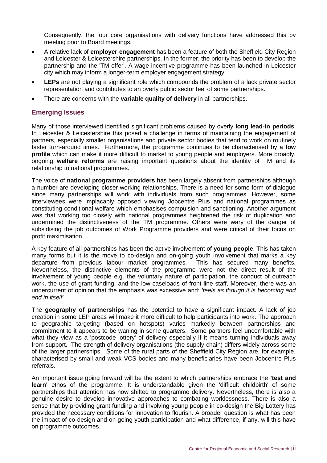Consequently, the four core organisations with delivery functions have addressed this by meeting prior to Board meetings.

- A relative lack of **employer engagement** has been a feature of both the Sheffield City Region and Leicester & Leicestershire partnerships. In the former, the priority has been to develop the partnership and the 'TM offer'. A wage incentive programme has been launched in Leicester city which may inform a longer-term employer engagement strategy.
- **LEPs** are not playing a significant role which compounds the problem of a lack private sector representation and contributes to an overly public sector feel of some partnerships.
- There are concerns with the **variable quality of delivery** in all partnerships.

#### **Emerging Issues**

Many of those interviewed identified significant problems caused by overly **long lead-in periods**. In Leicester & Leicestershire this posed a challenge in terms of maintaining the engagement of partners, especially smaller organisations and private sector bodies that tend to work on routinely faster turn-around times. Furthermore, the programme continues to be characterised by a **low profile** which can make it more difficult to market to young people and employers. More broadly, ongoing **welfare reforms** are raising important questions about the identity of TM and its relationship to national programmes.

The voice of **national programme providers** has been largely absent from partnerships although a number are developing closer working relationships. There is a need for some form of dialogue since many partnerships will work with individuals from such programmes. However, some interviewees were implacably opposed viewing Jobcentre Plus and national programmes as constituting conditional welfare which emphasises compulsion and sanctioning. Another argument was that working too closely with national programmes heightened the risk of duplication and undermined the distinctiveness of the TM programme. Others were wary of the danger of subsidising the job outcomes of Work Programme providers and were critical of their focus on profit maximisation.

A key feature of all partnerships has been the active involvement of **young people**. This has taken many forms but it is the move to co-design and on-going youth involvement that marks a key departure from previous labour market programmes. This has secured many benefits. Nevertheless, the distinctive elements of the programme were not the direct result of the involvement of young people e.g. the voluntary nature of participation, the conduct of outreach work, the use of grant funding, and the low caseloads of front-line staff. Moreover, there was an undercurrent of opinion that the emphasis was excessive and: *'feels as though it is becoming and end in itself'*.

The **geography of partnerships** has the potential to have a significant impact. A lack of job creation in some LEP areas will make it more difficult to help participants into work. The approach to geographic targeting (based on hotspots) varies markedly between partnerships and commitment to it appears to be waning in some quarters. Some partners feel uncomfortable with what they view as a 'postcode lottery' of delivery especially if it means turning individuals away from support. The strength of delivery organisations (the supply-chain) differs widely across some of the larger partnerships. Some of the rural parts of the Sheffield City Region are, for example, characterised by small and weak VCS bodies and many beneficiaries have been Jobcentre Plus referrals.

An important issue going forward will be the extent to which partnerships embrace the **'test and learn'** ethos of the programme. It is understandable given the 'difficult childbirth' of some partnerships that attention has now shifted to programme delivery. Nevertheless, there is also a genuine desire to develop innovative approaches to combating worklessness. There is also a sense that by providing grant funding and involving young people in co-design the Big Lottery has provided the necessary conditions for innovation to flourish. A broader question is what has been the impact of co-design and on-going youth participation and what difference, if any, will this have on programme outcomes.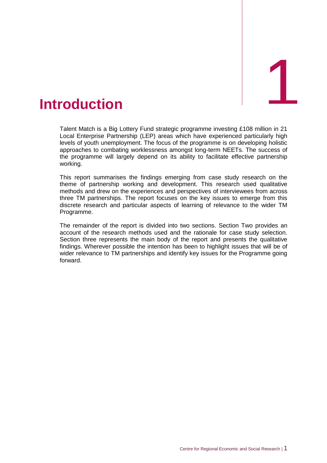<span id="page-5-0"></span>

Talent Match is a Big Lottery Fund strategic programme investing £108 million in 21 Local Enterprise Partnership (LEP) areas which have experienced particularly high levels of youth unemployment. The focus of the programme is on developing holistic approaches to combating worklessness amongst long-term NEETs. The success of the programme will largely depend on its ability to facilitate effective partnership working.

This report summarises the findings emerging from case study research on the theme of partnership working and development. This research used qualitative methods and drew on the experiences and perspectives of interviewees from across three TM partnerships. The report focuses on the key issues to emerge from this discrete research and particular aspects of learning of relevance to the wider TM Programme.

The remainder of the report is divided into two sections. Section Two provides an account of the research methods used and the rationale for case study selection. Section three represents the main body of the report and presents the qualitative findings. Wherever possible the intention has been to highlight issues that will be of wider relevance to TM partnerships and identify key issues for the Programme going forward.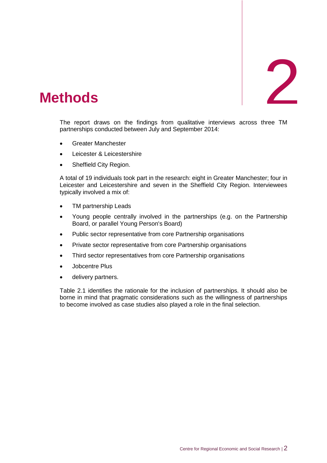# <span id="page-6-0"></span>2. **Methods** 2

The report draws on the findings from qualitative interviews across three TM partnerships conducted between July and September 2014:

- Greater Manchester
- Leicester & Leicestershire
- Sheffield City Region.

A total of 19 individuals took part in the research: eight in Greater Manchester; four in Leicester and Leicestershire and seven in the Sheffield City Region. Interviewees typically involved a mix of:

- TM partnership Leads
- Young people centrally involved in the partnerships (e.g. on the Partnership Board, or parallel Young Person's Board)
- Public sector representative from core Partnership organisations
- Private sector representative from core Partnership organisations
- Third sector representatives from core Partnership organisations
- Jobcentre Plus
- delivery partners.

Table 2.1 identifies the rationale for the inclusion of partnerships. It should also be borne in mind that pragmatic considerations such as the willingness of partnerships to become involved as case studies also played a role in the final selection.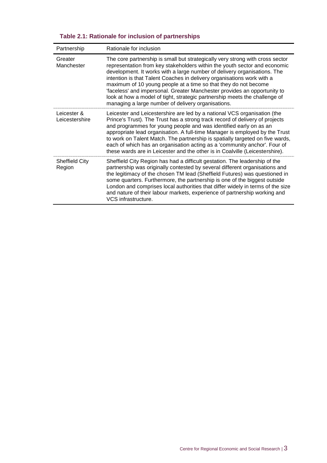|  |  |  |  |  |  | Table 2.1: Rationale for inclusion of partnerships |  |
|--|--|--|--|--|--|----------------------------------------------------|--|
|--|--|--|--|--|--|----------------------------------------------------|--|

| Partnership                     | Rationale for inclusion                                                                                                                                                                                                                                                                                                                                                                                                                                                                                                                                                                             |  |  |  |  |
|---------------------------------|-----------------------------------------------------------------------------------------------------------------------------------------------------------------------------------------------------------------------------------------------------------------------------------------------------------------------------------------------------------------------------------------------------------------------------------------------------------------------------------------------------------------------------------------------------------------------------------------------------|--|--|--|--|
| Greater<br>Manchester           | The core partnership is small but strategically very strong with cross sector<br>representation from key stakeholders within the youth sector and economic<br>development. It works with a large number of delivery organisations. The<br>intention is that Talent Coaches in delivery organisations work with a<br>maximum of 10 young people at a time so that they do not become<br>'faceless' and impersonal. Greater Manchester provides an opportunity to<br>look at how a model of tight, strategic partnership meets the challenge of<br>managing a large number of delivery organisations. |  |  |  |  |
| Leicester &<br>Leicestershire   | Leicester and Leicestershire are led by a national VCS organisation (the<br>Prince's Trust). The Trust has a strong track record of delivery of projects<br>and programmes for young people and was identified early on as an<br>appropriate lead organisation. A full-time Manager is employed by the Trust<br>to work on Talent Match. The partnership is spatially targeted on five wards,<br>each of which has an organisation acting as a 'community anchor'. Four of<br>these wards are in Leicester and the other is in Coalville (Leicestershire).                                          |  |  |  |  |
| <b>Sheffield City</b><br>Region | Sheffield City Region has had a difficult gestation. The leadership of the<br>partnership was originally contested by several different organisations and<br>the legitimacy of the chosen TM lead (Sheffield Futures) was questioned in<br>some quarters. Furthermore, the partnership is one of the biggest outside<br>London and comprises local authorities that differ widely in terms of the size<br>and nature of their labour markets, experience of partnership working and<br>VCS infrastructure.                                                                                          |  |  |  |  |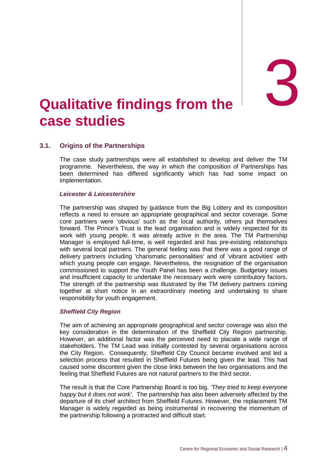# <span id="page-8-0"></span>and **1 and 1 and 1 and 1 and 1 and 1 and 1 and 1 and 1 and 1 and 1 and 1 and 1 and 1 and 1 and 1 and 1 and 1 a case studies**

#### <span id="page-8-1"></span>**3.1. Origins of the Partnerships**

The case study partnerships were all established to develop and deliver the TM programme. Nevertheless, the way in which the composition of Partnerships has been determined has differed significantly which has had some impact on implementation.

#### *Leicester & Leicestershire*

The partnership was shaped by guidance from the Big Lottery and its composition reflects a need to ensure an appropriate geographical and sector coverage. Some core partners were 'obvious' such as the local authority, others put themselves forward. The Prince's Trust is the lead organisation and is widely respected for its work with young people. It was already active in the area. The TM Partnership Manager is employed full-time, is well regarded and has pre-existing relationships with several local partners. The general feeling was that there was a good range of delivery partners including 'charismatic personalities' and of 'vibrant activities' with which young people can engage. Nevertheless, the resignation of the organisation commissioned to support the Youth Panel has been a challenge. Budgetary issues and insufficient capacity to undertake the necessary work were contributory factors. The strength of the partnership was illustrated by the TM delivery partners coming together at short notice in an extraordinary meeting and undertaking to share responsibility for youth engagement.

#### *Sheffield City Region*

The aim of achieving an appropriate geographical and sector coverage was also the key consideration in the determination of the Sheffield City Region partnership. However, an additional factor was the perceived need to placate a wide range of stakeholders. The TM Lead was initially contested by several organisations across the City Region. Consequently, Sheffield City Council became involved and led a selection process that resulted in Sheffield Futures being given the lead. This had caused some discontent given the close links between the two organisations and the feeling that Sheffield Futures are not natural partners to the third sector.

The result is that the Core Partnership Board is too big. *'They tried to keep everyone happy but it does not work'*. The partnership has also been adversely affected by the departure of its chief architect from Sheffield Futures. However, the replacement TM Manager is widely regarded as being instrumental in recovering the momentum of the partnership following a protracted and difficult start.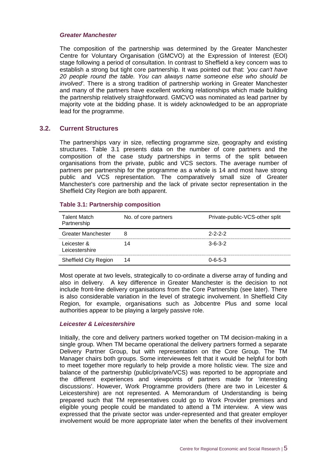#### *Greater Manchester*

The composition of the partnership was determined by the Greater Manchester Centre for Voluntary Organisation (GMCVO) at the Expression of Interest (EOI) stage following a period of consultation. In contrast to Sheffield a key concern was to establish a strong but tight core partnership. It was pointed out that: *'you can't have 20 people round the table. You can always name someone else who should be involved'*. There is a strong tradition of partnership working in Greater Manchester and many of the partners have excellent working relationships which made building the partnership relatively straightforward. GMCVO was nominated as lead partner by majority vote at the bidding phase. It is widely acknowledged to be an appropriate lead for the programme.

#### <span id="page-9-0"></span>**3.2. Current Structures**

The partnerships vary in size, reflecting programme size, geography and existing structures. Table 3.1 presents data on the number of core partners and the composition of the case study partnerships in terms of the split between organisations from the private, public and VCS sectors. The average number of partners per partnership for the programme as a whole is 14 and most have strong public and VCS representation. The comparatively small size of Greater Manchester's core partnership and the lack of private sector representation in the Sheffield City Region are both apparent.

#### **Table 3.1: Partnership composition**

| <b>Talent Match</b><br>Partnership | No. of core partners | Private-public-VCS-other split |
|------------------------------------|----------------------|--------------------------------|
| Greater Manchester                 | я                    | $2 - 2 - 2 - 2$                |
| Leicester &<br>Leicestershire      |                      | $3 - 6 - 3 - 2$                |
| Sheffield City Region              | 14                   | በ-6-5-3                        |

Most operate at two levels, strategically to co-ordinate a diverse array of funding and also in delivery. A key difference in Greater Manchester is the decision to not include front-line delivery organisations from the Core Partnership (see later). There is also considerable variation in the level of strategic involvement. In Sheffield City Region, for example, organisations such as Jobcentre Plus and some local authorities appear to be playing a largely passive role.

#### *Leicester & Leicestershire*

Initially, the core and delivery partners worked together on TM decision-making in a single group. When TM became operational the delivery partners formed a separate Delivery Partner Group, but with representation on the Core Group. The TM Manager chairs both groups. Some interviewees felt that it would be helpful for both to meet together more regularly to help provide a more holistic view. The size and balance of the partnership (public/private/VCS) was reported to be appropriate and the different experiences and viewpoints of partners made for 'interesting discussions'. However, Work Programme providers (there are two in Leicester & Leicestershire) are not represented. A Memorandum of Understanding is being prepared such that TM representatives could go to Work Provider premises and eligible young people could be mandated to attend a TM interview. A view was expressed that the private sector was under-represented and that greater employer involvement would be more appropriate later when the benefits of their involvement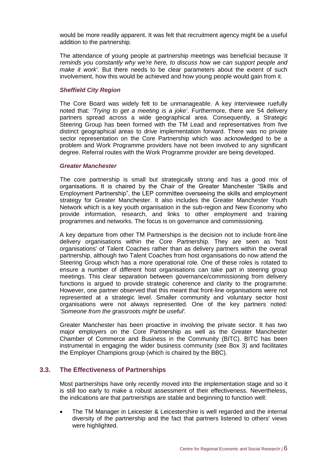would be more readily apparent. It was felt that recruitment agency might be a useful addition to the partnership.

The attendance of young people at partnership meetings was beneficial because *'it reminds you constantly why we're here, to discuss how we can support people and make it work'*. But there needs to be clear parameters about the extent of such involvement, how this would be achieved and how young people would gain from it.

#### *Sheffield City Region*

The Core Board was widely felt to be unmanageable. A key interviewee ruefully noted that: *'Trying to get a meeting is a joke'*. Furthermore, there are 54 delivery partners spread across a wide geographical area. Consequently, a Strategic Steering Group has been formed with the TM Lead and representatives from five distinct geographical areas to drive implementation forward. There was no private sector representation on the Core Partnership which was acknowledged to be a problem and Work Programme providers have not been involved to any significant degree. Referral routes with the Work Programme provider are being developed.

#### *Greater Manchester*

The core partnership is small but strategically strong and has a good mix of organisations. It is chaired by the Chair of the Greater Manchester "Skills and Employment Partnership", the LEP committee overseeing the skills and employment strategy for Greater Manchester. It also includes the Greater Manchester Youth Network which is a key youth organisation in the sub-region and New Economy who provide information, research, and links to other employment and training programmes and networks. The focus is on governance and commissioning.

A key departure from other TM Partnerships is the decision not to include front-line delivery organisations within the Core Partnership. They are seen as 'host organisations' of Talent Coaches rather than as delivery partners within the overall partnership, although two Talent Coaches from host organisations do now attend the Steering Group which has a more operational role. One of these roles is rotated to ensure a number of different host organisations can take part in steering group meetings. This clear separation between governance/commissioning from delivery functions is argued to provide strategic coherence and clarity to the programme. However, one partner observed that this meant that front-line organisations were not represented at a strategic level. Smaller community and voluntary sector host organisations were not always represented. One of the key partners noted: *'Someone from the grassroots might be useful'.*

Greater Manchester has been proactive in involving the private sector. It has two major employers on the Core Partnership as well as the Greater Manchester Chamber of Commerce and Business in the Community (BITC). BITC has been instrumental in engaging the wider business community (see Box 3) and facilitates the Employer Champions group (which is chaired by the BBC).

#### <span id="page-10-0"></span>**3.3. The Effectiveness of Partnerships**

Most partnerships have only recently moved into the implementation stage and so it is still too early to make a robust assessment of their effectiveness. Nevertheless, the indications are that partnerships are stable and beginning to function well:

 The TM Manager in Leicester & Leicestershire is well regarded and the internal diversity of the partnership and the fact that partners listened to others' views were highlighted.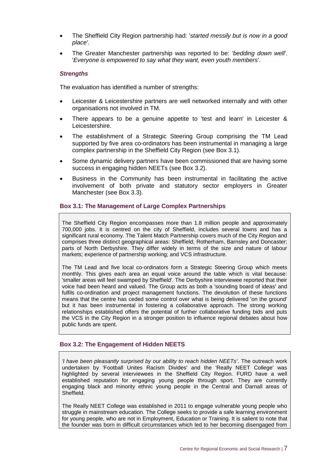- The Sheffield City Region partnership had: '*started messily but is now in a good place'*.
- The Greater Manchester partnership was reported to be: *'bedding down well'*. '*Everyone is empowered to say what they want, even youth members'*.

#### *Strengths*

The evaluation has identified a number of strengths:

- Leicester & Leicestershire partners are well networked internally and with other organisations not involved in TM.
- There appears to be a genuine appetite to 'test and learn' in Leicester & Leicestershire.
- The establishment of a Strategic Steering Group comprising the TM Lead supported by five area co-ordinators has been instrumental in managing a large complex partnership in the Sheffield City Region (see Box 3.1).
- Some dynamic delivery partners have been commissioned that are having some success in engaging hidden NEETs (see Box 3.2).
- Business in the Community has been instrumental in facilitating the active involvement of both private and statutory sector employers in Greater Manchester (see Box 3.3).

#### **Box 3.1: The Management of Large Complex Partnerships**

The Sheffield City Region encompasses more than 1.8 million people and approximately 700,000 jobs. It is centred on the city of Sheffield, includes several towns and has a significant rural economy. The Talent Match Partnership covers much of the City Region and comprises three distinct geographical areas: Sheffield; Rotherham, Barnsley and Doncaster; parts of North Derbyshire. They differ widely in terms of the size and nature of labour markets; experience of partnership working; and VCS infrastructure.

The TM Lead and five local co-ordinators form a Strategic Steering Group which meets monthly. This gives each area an equal voice around the table which is vital because: 'smaller areas will feel swamped by Sheffield'. The Derbyshire interviewee reported that their voice had been heard and valued. The Group acts as both a 'sounding board of ideas' and fulfils co-ordination and project management functions. The devolution of these functions means that the centre has ceded some control over what is being delivered 'on the ground' but it has been instrumental in fostering a collaborative approach. The strong working relationships established offers the potential of further collaborative funding bids and puts the VCS in the City Region in a stronger position to influence regional debates about how public funds are spent.

#### **Box 3.2: The Engagement of Hidden NEETS**

*'I have been pleasantly surprised by our ability to reach hidden NEETs'*. The outreach work undertaken by 'Football Unites Racism Divides' and the 'Really NEET College' was highlighted by several interviewees in the Sheffield City Region. FURD have a well established reputation for engaging young people through sport. They are currently engaging black and minority ethnic young people in the Central and Darnall areas of Sheffield.

The Really NEET College was established in 2011 to engage vulnerable young people who struggle in mainstream education. The College seeks to provide a safe learning environment for young people, who are not in Employment, Education or Training. It is salient to note that the founder was born in difficult circumstances which led to her becoming disengaged from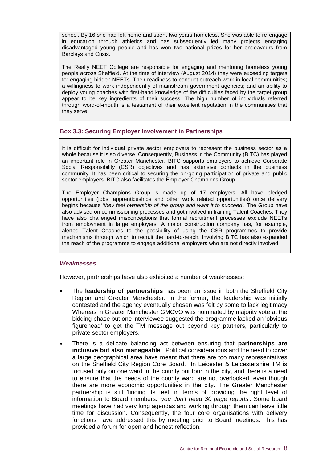school. By 16 she had left home and spent two years homeless. She was able to re-engage in education through athletics and has subsequently led many projects engaging disadvantaged young people and has won two national prizes for her endeavours from Barclays and Crisis.

The Really NEET College are responsible for engaging and mentoring homeless young people across Sheffield. At the time of interview (August 2014) they were exceeding targets for engaging hidden NEETs. Their readiness to conduct outreach work in local communities; a willingness to work independently of mainstream government agencies; and an ability to deploy young coaches with first-hand knowledge of the difficulties faced by the target group appear to be key ingredients of their success. The high number of individuals referred through word-of-mouth is a testament of their excellent reputation in the communities that they serve.

#### **Box 3.3: Securing Employer Involvement in Partnerships**

It is difficult for individual private sector employers to represent the business sector as a whole because it is so diverse. Consequently, Business in the Community (BITC) has played an important role in Greater Manchester. BITC supports employers to achieve Corporate Social Responsibility (CSR) objectives and has extensive contacts in the business community. It has been critical to securing the on-going participation of private and public sector employers. BITC also facilitates the Employer Champions Group.

The Employer Champions Group is made up of 17 employers. All have pledged opportunities (jobs, apprenticeships and other work related opportunities) once delivery begins because *'they feel ownership of the group and want it to succeed'*. The Group have also advised on commissioning processes and got involved in training Talent Coaches. They have also challenged misconceptions that formal recruitment processes exclude NEETs from employment in large employers. A major construction company has, for example, alerted Talent Coaches to the possibility of using the CSR programmes to provide mechanisms through which to recruit the hard-to-reach. Involving BITC has also expanded the reach of the programme to engage additional employers who are not directly involved.

#### *Weaknesses*

However, partnerships have also exhibited a number of weaknesses:

- The **leadership of partnerships** has been an issue in both the Sheffield City Region and Greater Manchester. In the former, the leadership was initially contested and the agency eventually chosen was felt by some to lack legitimacy. Whereas in Greater Manchester GMCVO was nominated by majority vote at the bidding phase but one interviewee suggested the programme lacked an 'obvious figurehead' to get the TM message out beyond key partners, particularly to private sector employers.
- There is a delicate balancing act between ensuring that **partnerships are inclusive but also manageable**. Political considerations and the need to cover a large geographical area have meant that there are too many representatives on the Sheffield City Region Core Board. In Leicester & Leicestershire TM is focused only on one ward in the county but four in the city, and there is a need to ensure that the needs of the county ward are not overlooked, even though there are more economic opportunities in the city. The Greater Manchester partnership is still 'finding its feet' in terms of providing the right level of information to Board members: *'you don't need 30 page reports*'. Some board meetings have had very long agendas and working through them can leave little time for discussion. Consequently, the four core organisations with delivery functions have addressed this by meeting prior to Board meetings. This has provided a forum for open and honest reflection.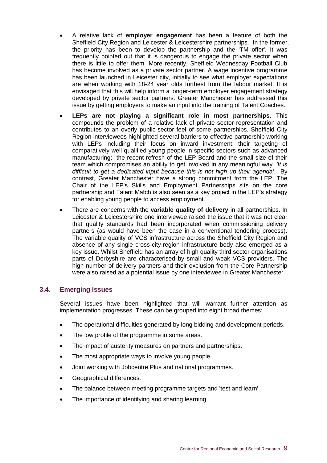- A relative lack of **employer engagement** has been a feature of both the Sheffield City Region and Leicester & Leicestershire partnerships. In the former, the priority has been to develop the partnership and the 'TM offer'. It was frequently pointed out that it is dangerous to engage the private sector when there is little to offer them. More recently, Sheffield Wednesday Football Club has become involved as a private sector partner. A wage incentive programme has been launched in Leicester city, initially to see what employer expectations are when working with 18-24 year olds furthest from the labour market. It is envisaged that this will help inform a longer-term employer engagement strategy developed by private sector partners. Greater Manchester has addressed this issue by getting employers to make an input into the training of Talent Coaches.
- **LEPs are not playing a significant role in most partnerships.** This compounds the problem of a relative lack of private sector representation and contributes to an overly public-sector feel of some partnerships. Sheffield City Region interviewees highlighted several barriers to effective partnership working with LEPs including their focus on inward investment; their targeting of comparatively well qualified young people in specific sectors such as advanced manufacturing; the recent refresh of the LEP Board and the small size of their team which compromises an ability to get involved in any meaningful way. *'It is difficult to get a dedicated input because this is not high up their agenda'*. By contrast, Greater Manchester have a strong commitment from the LEP. The Chair of the LEP's Skills and Employment Partnerships sits on the core partnership and Talent Match is also seen as a key project in the LEP's strategy for enabling young people to access employment.
- There are concerns with the **variable quality of delivery** in all partnerships. In Leicester & Leicestershire one interviewee raised the issue that it was not clear that quality standards had been incorporated when commissioning delivery partners (as would have been the case in a conventional tendering process). The variable quality of VCS infrastructure across the Sheffield City Region and absence of any single cross-city-region infrastructure body also emerged as a key issue. Whilst Sheffield has an array of high quality third sector organisations parts of Derbyshire are characterised by small and weak VCS providers. The high number of delivery partners and their exclusion from the Core Partnership were also raised as a potential issue by one interviewee in Greater Manchester.

#### <span id="page-13-0"></span>**3.4. Emerging Issues**

Several issues have been highlighted that will warrant further attention as implementation progresses. These can be grouped into eight broad themes:

- The operational difficulties generated by long bidding and development periods.
- The low profile of the programme in some areas.
- The impact of austerity measures on partners and partnerships.
- The most appropriate ways to involve young people.
- Joint working with Jobcentre Plus and national programmes.
- Geographical differences.
- The balance between meeting programme targets and 'test and learn'.
- The importance of identifying and sharing learning.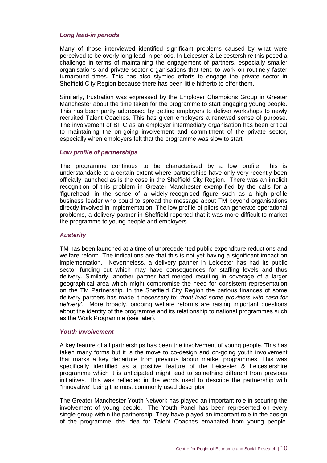#### *Long lead-in periods*

Many of those interviewed identified significant problems caused by what were perceived to be overly long lead-in periods. In Leicester & Leicestershire this posed a challenge in terms of maintaining the engagement of partners, especially smaller organisations and private sector organisations that tend to work on routinely faster turnaround times. This has also stymied efforts to engage the private sector in Sheffield City Region because there has been little hitherto to offer them.

Similarly, frustration was expressed by the Employer Champions Group in Greater Manchester about the time taken for the programme to start engaging young people. This has been partly addressed by getting employers to deliver workshops to newly recruited Talent Coaches. This has given employers a renewed sense of purpose. The involvement of BITC as an employer intermediary organisation has been critical to maintaining the on-going involvement and commitment of the private sector, especially when employers felt that the programme was slow to start.

#### *Low profile of partnerships*

The programme continues to be characterised by a low profile. This is understandable to a certain extent where partnerships have only very recently been officially launched as is the case in the Sheffield City Region. There was an implicit recognition of this problem in Greater Manchester exemplified by the calls for a 'figurehead' in the sense of a widely-recognised figure such as a high profile business leader who could to spread the message about TM beyond organisations directly involved in implementation. The low profile of pilots can generate operational problems, a delivery partner in Sheffield reported that it was more difficult to market the programme to young people and employers.

#### *Austerity*

TM has been launched at a time of unprecedented public expenditure reductions and welfare reform. The indications are that this is not yet having a significant impact on implementation. Nevertheless, a delivery partner in Leicester has had its public sector funding cut which may have consequences for staffing levels and thus delivery. Similarly, another partner had merged resulting in coverage of a larger geographical area which might compromise the need for consistent representation on the TM Partnership. In the Sheffield City Region the parlous finances of some delivery partners has made it necessary to: *'front-load some providers with cash for delivery'*. More broadly, ongoing welfare reforms are raising important questions about the identity of the programme and its relationship to national programmes such as the Work Programme (see later).

#### *Youth involvement*

A key feature of all partnerships has been the involvement of young people. This has taken many forms but it is the move to co-design and on-going youth involvement that marks a key departure from previous labour market programmes. This was specifically identified as a positive feature of the Leicester & Leicestershire programme which it is anticipated might lead to something different from previous initiatives. This was reflected in the words used to describe the partnership with ''innovative'' being the most commonly used descriptor.

The Greater Manchester Youth Network has played an important role in securing the involvement of young people. The Youth Panel has been represented on every single group within the partnership. They have played an important role in the design of the programme; the idea for Talent Coaches emanated from young people.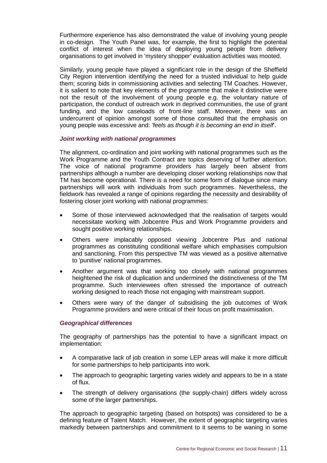Furthermore experience has also demonstrated the value of involving young people in co-design. The Youth Panel was, for example, the first to highlight the potential conflict of interest when the idea of deploying young people from delivery organisations to get involved in 'mystery shopper' evaluation activities was mooted.

Similarly, young people have played a significant role in the design of the Sheffield City Region intervention identifying the need for a trusted individual to help guide them; scoring bids in commissioning activities and selecting TM Coaches. However, it is salient to note that key elements of the programme that make it distinctive were not the result of the involvement of young people e.g. the voluntary nature of participation, the conduct of outreach work in deprived communities, the use of grant funding, and the low caseloads of front-line staff. Moreover, there was an undercurrent of opinion amongst some of those consulted that the emphasis on young people was excessive and: *'feels as though it is becoming an end in itself*'.

#### *Joint working with national programmes*

The alignment, co-ordination and joint working with national programmes such as the Work Programme and the Youth Contract are topics deserving of further attention. The voice of national programme providers has largely been absent from partnerships although a number are developing closer working relationships now that TM has become operational. There is a need for some form of dialogue since many partnerships will work with individuals from such programmes. Nevertheless, the fieldwork has revealed a range of opinions regarding the necessity and desirability of fostering closer joint working with national programmes:

- Some of those interviewed acknowledged that the realisation of targets would necessitate working with Jobcentre Plus and Work Programme providers and sought positive working relationships.
- Others were implacably opposed viewing Jobcentre Plus and national programmes as constituting conditional welfare which emphasises compulsion and sanctioning. From this perspective TM was viewed as a positive alternative to 'punitive' national programmes.
- Another argument was that working too closely with national programmes heightened the risk of duplication and undermined the distinctiveness of the TM programme. Such interviewees often stressed the importance of outreach working designed to reach those not engaging with mainstream support.
- Others were wary of the danger of subsidising the job outcomes of Work Programme providers and were critical of their focus on profit maximisation.

#### *Geographical differences*

The geography of partnerships has the potential to have a significant impact on implementation:

- A comparative lack of job creation in some LEP areas will make it more difficult for some partnerships to help participants into work.
- The approach to geographic targeting varies widely and appears to be in a state of flux.
- The strength of delivery organisations (the supply-chain) differs widely across some of the larger partnerships.

The approach to geographic targeting (based on hotspots) was considered to be a defining feature of Talent Match. However, the extent of geographic targeting varies markedly between partnerships and commitment to it seems to be waning in some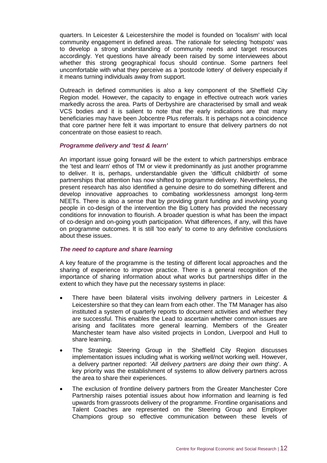quarters. In Leicester & Leicestershire the model is founded on 'localism' with local community engagement in defined areas. The rationale for selecting 'hotspots' was to develop a strong understanding of community needs and target resources accordingly. Yet questions have already been raised by some interviewees about whether this strong geographical focus should continue. Some partners feel uncomfortable with what they perceive as a 'postcode lottery' of delivery especially if it means turning individuals away from support.

Outreach in defined communities is also a key component of the Sheffield City Region model. However, the capacity to engage in effective outreach work varies markedly across the area. Parts of Derbyshire are characterised by small and weak VCS bodies and it is salient to note that the early indications are that many beneficiaries may have been Jobcentre Plus referrals. It is perhaps not a coincidence that core partner here felt it was important to ensure that delivery partners do not concentrate on those easiest to reach.

#### *Programme delivery and 'test & learn'*

An important issue going forward will be the extent to which partnerships embrace the 'test and learn' ethos of TM or view it predominantly as just another programme to deliver. It is, perhaps, understandable given the 'difficult childbirth' of some partnerships that attention has now shifted to programme delivery. Nevertheless, the present research has also identified a genuine desire to do something different and develop innovative approaches to combating worklessness amongst long-term NEETs. There is also a sense that by providing grant funding and involving young people in co-design of the intervention the Big Lottery has provided the necessary conditions for innovation to flourish. A broader question is what has been the impact of co-design and on-going youth participation. What differences, if any, will this have on programme outcomes. It is still 'too early' to come to any definitive conclusions about these issues.

#### *The need to capture and share learning*

A key feature of the programme is the testing of different local approaches and the sharing of experience to improve practice. There is a general recognition of the importance of sharing information about what works but partnerships differ in the extent to which they have put the necessary systems in place:

- There have been bilateral visits involving delivery partners in Leicester & Leicestershire so that they can learn from each other. The TM Manager has also instituted a system of quarterly reports to document activities and whether they are successful. This enables the Lead to ascertain whether common issues are arising and facilitates more general learning. Members of the Greater Manchester team have also visited projects in London, Liverpool and Hull to share learning.
- The Strategic Steering Group in the Sheffield City Region discusses implementation issues including what is working well/not working well. However, a delivery partner reported: *'All delivery partners are doing their own thing*'. A key priority was the establishment of systems to allow delivery partners across the area to share their experiences.
- The exclusion of frontline delivery partners from the Greater Manchester Core Partnership raises potential issues about how information and learning is fed upwards from grassroots delivery of the programme. Frontline organisations and Talent Coaches are represented on the Steering Group and Employer Champions group so effective communication between these levels of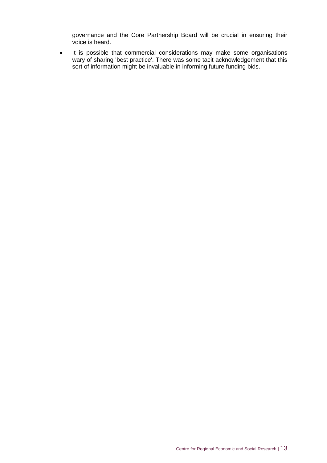governance and the Core Partnership Board will be crucial in ensuring their voice is heard.

• It is possible that commercial considerations may make some organisations wary of sharing 'best practice'. There was some tacit acknowledgement that this sort of information might be invaluable in informing future funding bids.